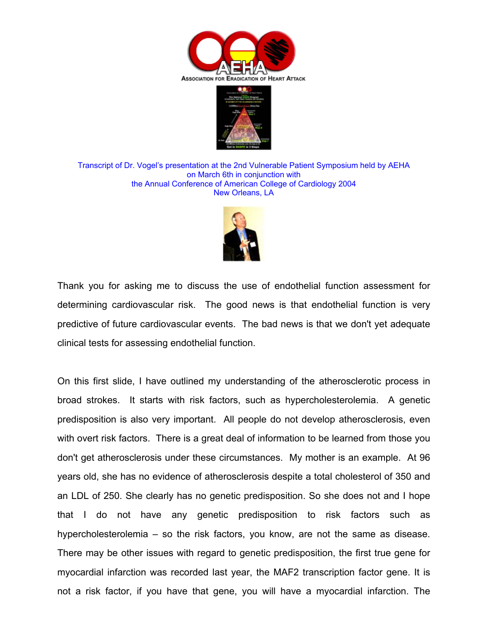



Transcript of Dr. Vogel's presentation at the 2nd Vulnerable Patient Symposium held by AEHA on March 6th in conjunction with the Annual Conference of American College of Cardiology 2004 New Orleans, LA



Thank you for asking me to discuss the use of endothelial function assessment for determining cardiovascular risk. The good news is that endothelial function is very predictive of future cardiovascular events. The bad news is that we don't yet adequate clinical tests for assessing endothelial function.

On this first slide, I have outlined my understanding of the atherosclerotic process in broad strokes. It starts with risk factors, such as hypercholesterolemia. A genetic predisposition is also very important. All people do not develop atherosclerosis, even with overt risk factors. There is a great deal of information to be learned from those you don't get atherosclerosis under these circumstances. My mother is an example. At 96 years old, she has no evidence of atherosclerosis despite a total cholesterol of 350 and an LDL of 250. She clearly has no genetic predisposition. So she does not and I hope that I do not have any genetic predisposition to risk factors such as hypercholesterolemia – so the risk factors, you know, are not the same as disease. There may be other issues with regard to genetic predisposition, the first true gene for myocardial infarction was recorded last year, the MAF2 transcription factor gene. It is not a risk factor, if you have that gene, you will have a myocardial infarction. The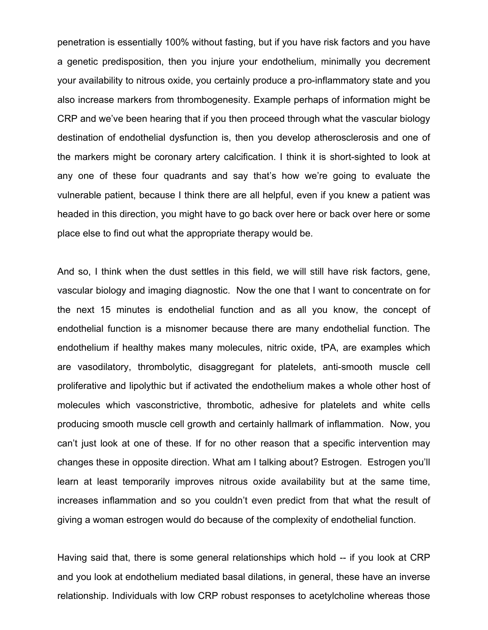penetration is essentially 100% without fasting, but if you have risk factors and you have a genetic predisposition, then you injure your endothelium, minimally you decrement your availability to nitrous oxide, you certainly produce a pro-inflammatory state and you also increase markers from thrombogenesity. Example perhaps of information might be CRP and we've been hearing that if you then proceed through what the vascular biology destination of endothelial dysfunction is, then you develop atherosclerosis and one of the markers might be coronary artery calcification. I think it is short-sighted to look at any one of these four quadrants and say that's how we're going to evaluate the vulnerable patient, because I think there are all helpful, even if you knew a patient was headed in this direction, you might have to go back over here or back over here or some place else to find out what the appropriate therapy would be.

And so, I think when the dust settles in this field, we will still have risk factors, gene, vascular biology and imaging diagnostic. Now the one that I want to concentrate on for the next 15 minutes is endothelial function and as all you know, the concept of endothelial function is a misnomer because there are many endothelial function. The endothelium if healthy makes many molecules, nitric oxide, tPA, are examples which are vasodilatory, thrombolytic, disaggregant for platelets, anti-smooth muscle cell proliferative and lipolythic but if activated the endothelium makes a whole other host of molecules which vasconstrictive, thrombotic, adhesive for platelets and white cells producing smooth muscle cell growth and certainly hallmark of inflammation. Now, you can't just look at one of these. If for no other reason that a specific intervention may changes these in opposite direction. What am I talking about? Estrogen. Estrogen you'll learn at least temporarily improves nitrous oxide availability but at the same time, increases inflammation and so you couldn't even predict from that what the result of giving a woman estrogen would do because of the complexity of endothelial function.

Having said that, there is some general relationships which hold -- if you look at CRP and you look at endothelium mediated basal dilations, in general, these have an inverse relationship. Individuals with low CRP robust responses to acetylcholine whereas those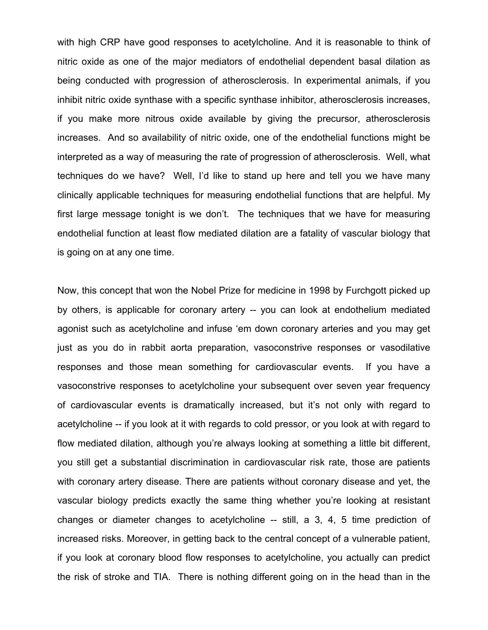with high CRP have good responses to acetylcholine. And it is reasonable to think of nitric oxide as one of the major mediators of endothelial dependent basal dilation as being conducted with progression of atherosclerosis. In experimental animals, if you inhibit nitric oxide synthase with a specific synthase inhibitor, atherosclerosis increases, if you make more nitrous oxide available by giving the precursor, atherosclerosis increases. And so availability of nitric oxide, one of the endothelial functions might be interpreted as a way of measuring the rate of progression of atherosclerosis. Well, what techniques do we have? Well, I'd like to stand up here and tell you we have many clinically applicable techniques for measuring endothelial functions that are helpful. My first large message tonight is we don't. The techniques that we have for measuring endothelial function at least flow mediated dilation are a fatality of vascular biology that is going on at any one time.

Now, this concept that won the Nobel Prize for medicine in 1998 by Furchgott picked up by others, is applicable for coronary artery -- you can look at endothelium mediated agonist such as acetylcholine and infuse 'em down coronary arteries and you may get just as you do in rabbit aorta preparation, vasoconstrive responses or vasodilative responses and those mean something for cardiovascular events. If you have a vasoconstrive responses to acetylcholine your subsequent over seven year frequency of cardiovascular events is dramatically increased, but it's not only with regard to acetylcholine -- if you look at it with regards to cold pressor, or you look at with regard to flow mediated dilation, although you're always looking at something a little bit different, you still get a substantial discrimination in cardiovascular risk rate, those are patients with coronary artery disease. There are patients without coronary disease and yet, the vascular biology predicts exactly the same thing whether you're looking at resistant changes or diameter changes to acetylcholine -- still, a 3, 4, 5 time prediction of increased risks. Moreover, in getting back to the central concept of a vulnerable patient, if you look at coronary blood flow responses to acetylcholine, you actually can predict the risk of stroke and TIA. There is nothing different going on in the head than in the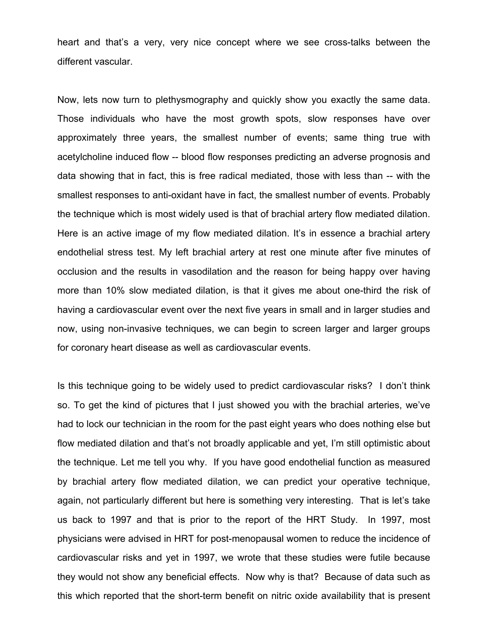heart and that's a very, very nice concept where we see cross-talks between the different vascular.

Now, lets now turn to plethysmography and quickly show you exactly the same data. Those individuals who have the most growth spots, slow responses have over approximately three years, the smallest number of events; same thing true with acetylcholine induced flow -- blood flow responses predicting an adverse prognosis and data showing that in fact, this is free radical mediated, those with less than -- with the smallest responses to anti-oxidant have in fact, the smallest number of events. Probably the technique which is most widely used is that of brachial artery flow mediated dilation. Here is an active image of my flow mediated dilation. It's in essence a brachial artery endothelial stress test. My left brachial artery at rest one minute after five minutes of occlusion and the results in vasodilation and the reason for being happy over having more than 10% slow mediated dilation, is that it gives me about one-third the risk of having a cardiovascular event over the next five years in small and in larger studies and now, using non-invasive techniques, we can begin to screen larger and larger groups for coronary heart disease as well as cardiovascular events.

Is this technique going to be widely used to predict cardiovascular risks? I don't think so. To get the kind of pictures that I just showed you with the brachial arteries, we've had to lock our technician in the room for the past eight years who does nothing else but flow mediated dilation and that's not broadly applicable and yet, I'm still optimistic about the technique. Let me tell you why. If you have good endothelial function as measured by brachial artery flow mediated dilation, we can predict your operative technique, again, not particularly different but here is something very interesting. That is let's take us back to 1997 and that is prior to the report of the HRT Study. In 1997, most physicians were advised in HRT for post-menopausal women to reduce the incidence of cardiovascular risks and yet in 1997, we wrote that these studies were futile because they would not show any beneficial effects. Now why is that? Because of data such as this which reported that the short-term benefit on nitric oxide availability that is present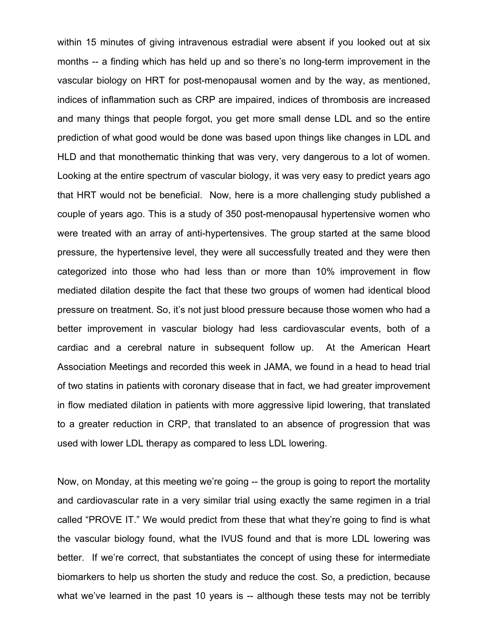within 15 minutes of giving intravenous estradial were absent if you looked out at six months -- a finding which has held up and so there's no long-term improvement in the vascular biology on HRT for post-menopausal women and by the way, as mentioned, indices of inflammation such as CRP are impaired, indices of thrombosis are increased and many things that people forgot, you get more small dense LDL and so the entire prediction of what good would be done was based upon things like changes in LDL and HLD and that monothematic thinking that was very, very dangerous to a lot of women. Looking at the entire spectrum of vascular biology, it was very easy to predict years ago that HRT would not be beneficial. Now, here is a more challenging study published a couple of years ago. This is a study of 350 post-menopausal hypertensive women who were treated with an array of anti-hypertensives. The group started at the same blood pressure, the hypertensive level, they were all successfully treated and they were then categorized into those who had less than or more than 10% improvement in flow mediated dilation despite the fact that these two groups of women had identical blood pressure on treatment. So, it's not just blood pressure because those women who had a better improvement in vascular biology had less cardiovascular events, both of a cardiac and a cerebral nature in subsequent follow up. At the American Heart Association Meetings and recorded this week in JAMA, we found in a head to head trial of two statins in patients with coronary disease that in fact, we had greater improvement in flow mediated dilation in patients with more aggressive lipid lowering, that translated to a greater reduction in CRP, that translated to an absence of progression that was used with lower LDL therapy as compared to less LDL lowering.

Now, on Monday, at this meeting we're going -- the group is going to report the mortality and cardiovascular rate in a very similar trial using exactly the same regimen in a trial called "PROVE IT." We would predict from these that what they're going to find is what the vascular biology found, what the IVUS found and that is more LDL lowering was better. If we're correct, that substantiates the concept of using these for intermediate biomarkers to help us shorten the study and reduce the cost. So, a prediction, because what we've learned in the past 10 years is -- although these tests may not be terribly